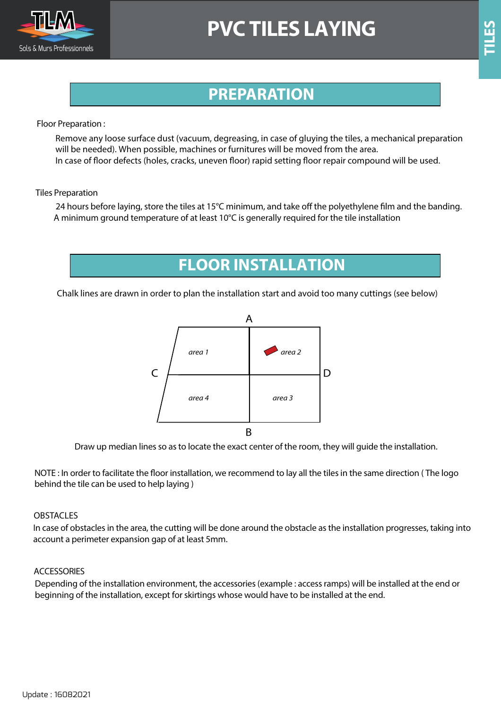

## **PVC TILES LAYING**

### **PREPARATION**

Floor Preparation :

Remove any loose surface dust (vacuum, degreasing, in case of gluying the tiles, a mechanical preparation will be needed). When possible, machines or furnitures will be moved from the area. In case of floor defects (holes, cracks, uneven floor) rapid setting floor repair compound will be used.

#### Tiles Preparation

24 hours before laying, store the tiles at 15°C minimum, and take off the polyethylene film and the banding. A minimum ground temperature of at least 10°C is generally required for the tile installation

**FLOOR INSTALLATION**

Chalk lines are drawn in order to plan the installation start and avoid too many cuttings (see below)



Draw up median lines so as to locate the exact center of the room, they will guide the installation.

NOTE : In order to facilitate the floor installation, we recommend to lay all the tiles in the same direction (The logo behind the tile can be used to help laying )

#### OBSTACLES

In case of obstacles in the area, the cutting will be done around the obstacle as the installation progresses, taking into account a perimeter expansion gap of at least 5mm.

#### **ACCESSORIES**

Depending of the installation environment, the accessories (example : access ramps) will be installed at the end or beginning of the installation, except for skirtings whose would have to be installed at the end.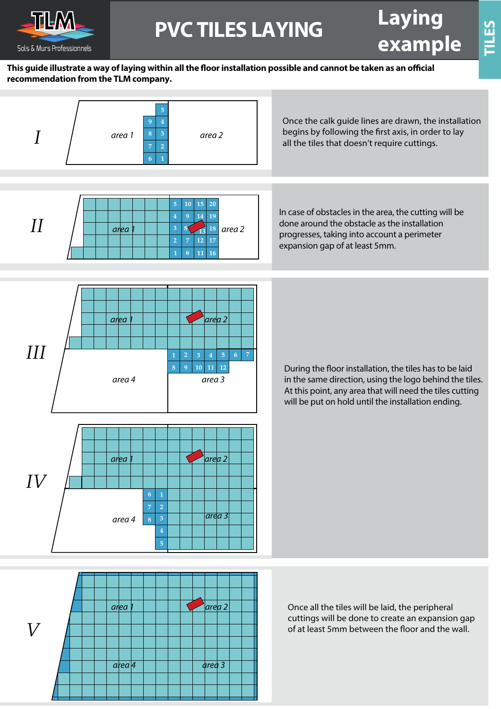

# **example PVC TILES LAYING**

**TILES**

#### This guide illustrate a way of laying within all the floor installation possible and cannot be taken as an official **recommendation from the TLM company.**

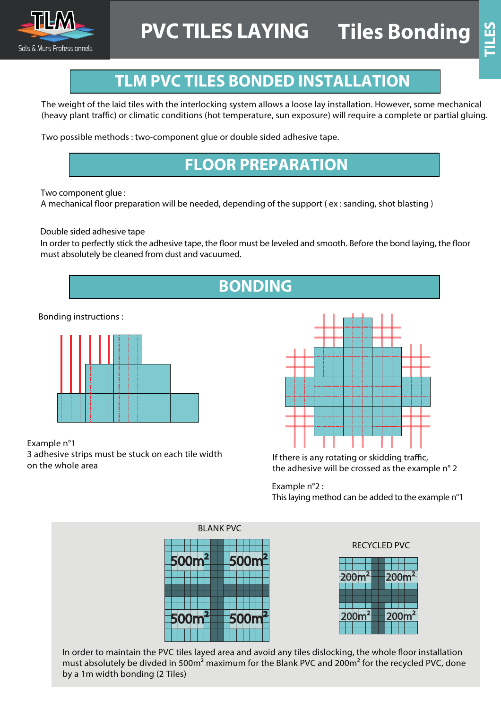

### **TLM PVC TILES BONDED INSTALLATION**

The weight of the laid tiles with the interlocking system allows a loose lay installation. However, some mechanical (heavy plant traffic) or climatic conditions (hot temperature, sun exposure) will require a complete or partial gluing.

Two possible methods : two-component glue or double sided adhesive tape.

### **FLOOR PREPARATION**

Two component glue :

A mechanical floor preparation will be needed, depending of the support (ex : sanding, shot blasting)

Double sided adhesive tape

In order to perfectly stick the adhesive tape, the floor must be leveled and smooth. Before the bond laying, the floor must absolutely be cleaned from dust and vacuumed.

Bonding instructions :



Example n°1 3 adhesive strips must be stuck on each tile width 3 adhesive strips must be stuck on each tile width If there is any rotating or skidding traffic,<br>On the whole area If the adhesive will be crossed as the exam



the adhesive will be crossed as the example n° 2

Example n°2 : This laying method can be added to the example n°1



RECYCLED PVC



In order to maintain the PVC tiles layed area and avoid any tiles dislocking, the whole floor installation must absolutely be divded in 500m² maximum for the Blank PVC and 200m² for the recycled PVC, done by a 1m width bonding (2 Tiles)